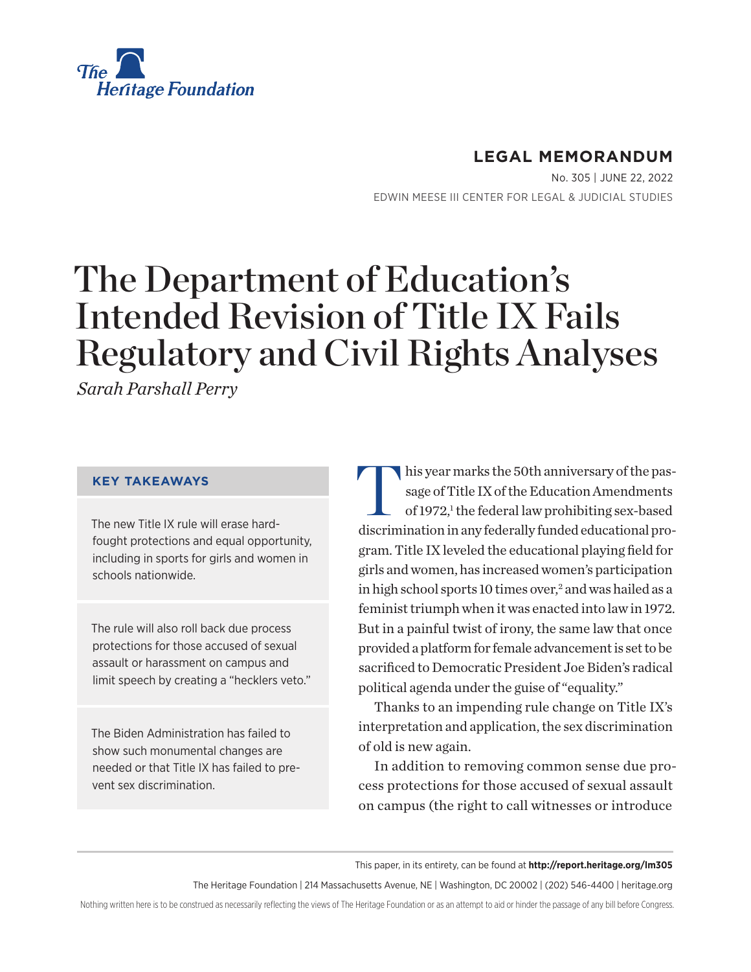<span id="page-0-0"></span>

# **LEGAL MEMORANDUM**

No. 305 | June 22, 2022 EDWIN MEESE III CENTER FOR LEGAL & JUDICIAL STUDIES

# The Department of Education's Intended Revision of Title IX Fails Regulatory and Civil Rights Analyses

*Sarah Parshall Perry*

#### **KEY TAKEAWAYS**

The new Title IX rule will erase hardfought protections and equal opportunity, including in sports for girls and women in schools nationwide.

The rule will also roll back due process protections for those accused of sexual assault or harassment on campus and limit speech by creating a "hecklers veto."

The Biden Administration has failed to show such monumental changes are needed or that Title IX has failed to prevent sex discrimination.

his year marks the 50th anniversary of the passage of Title IX of the Education Amendments of 1972,<sup>1</sup> the federal law prohibiting sex-based discrimination in any federally funded educational program. Title IX leveled the educational playing field for girls and women, has increased women's participation in high school sports 10 times over,<sup>2</sup> and was hailed as a feminist triumph when it was enacted into law in 1972. But in a painful twist of irony, the same law that once provided a platform for female advancement is set to be sacrificed to Democratic President Joe Biden's radical political agenda under the guise of "equality."

Thanks to an impending rule change on Title IX's interpretation and application, the sex discrimination of old is new again.

In addition to removing common sense due process protections for those accused of sexual assault on campus (the right to call witnesses or introduce

This paper, in its entirety, can be found at **http://report.heritage.org/lm305**

The Heritage Foundation | 214 Massachusetts Avenue, NE | Washington, DC 20002 | (202) 546-4400 | heritage.org

Nothing written here is to be construed as necessarily reflecting the views of The Heritage Foundation or as an attempt to aid or hinder the passage of any bill before Congress.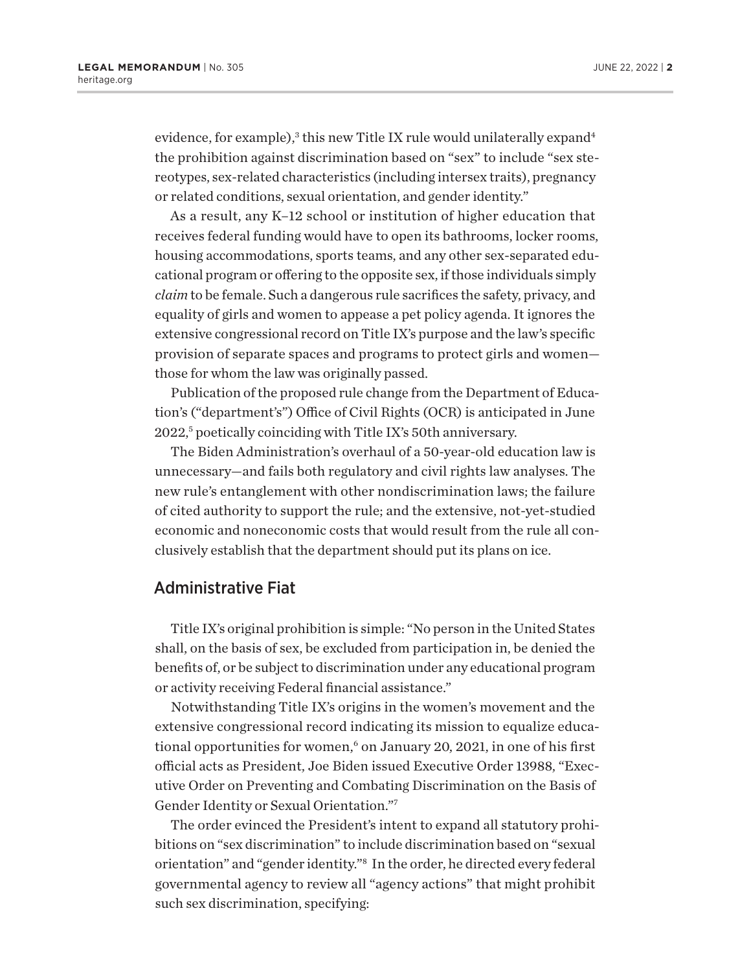<span id="page-1-0"></span>evidence, for example),<sup>[3](#page-14-0)</sup> this new Title IX rule would unilaterally expand<sup>4</sup> the prohibition against discrimination based on "sex" to include "sex stereotypes, sex-related characteristics (including intersex traits), pregnancy or related conditions, sexual orientation, and gender identity."

As a result, any K–12 school or institution of higher education that receives federal funding would have to open its bathrooms, locker rooms, housing accommodations, sports teams, and any other sex-separated educational program or offering to the opposite sex, if those individuals simply *claim* to be female. Such a dangerous rule sacrifices the safety, privacy, and equality of girls and women to appease a pet policy agenda. It ignores the extensive congressional record on Title IX's purpose and the law's specific provision of separate spaces and programs to protect girls and women those for whom the law was originally passed.

Publication of the proposed rule change from the Department of Education's ("department's") Office of Civil Rights (OCR) is anticipated in June 2022,<sup>[5](#page-14-0)</sup> poetically coinciding with Title IX's 50th anniversary.

The Biden Administration's overhaul of a 50-year-old education law is unnecessary—and fails both regulatory and civil rights law analyses. The new rule's entanglement with other nondiscrimination laws; the failure of cited authority to support the rule; and the extensive, not-yet-studied economic and noneconomic costs that would result from the rule all conclusively establish that the department should put its plans on ice.

#### Administrative Fiat

Title IX's original prohibition is simple: "No person in the United States shall, on the basis of sex, be excluded from participation in, be denied the benefits of, or be subject to discrimination under any educational program or activity receiving Federal financial assistance."

Notwithstanding Title IX's origins in the women's movement and the extensive congressional record indicating its mission to equalize educational opportunities for women,<sup>6</sup> on January 20, 2021, in one of his first official acts as President, Joe Biden issued Executive Order 13988, "Executive Order on Preventing and Combating Discrimination on the Basis of Gender Identity or Sexual Orientation.["7](#page-14-0)

The order evinced the President's intent to expand all statutory prohibitions on "sex discrimination" to include discrimination based on "sexual orientation" and "gender identity."[8](#page-14-0) In the order, he directed every federal governmental agency to review all "agency actions" that might prohibit such sex discrimination, specifying: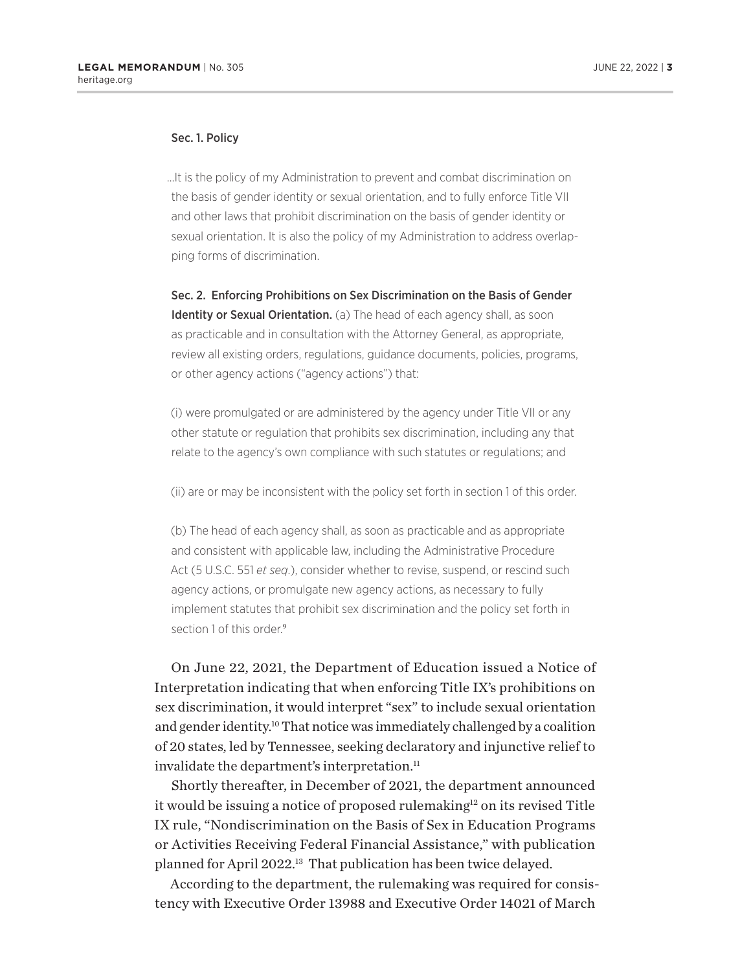#### <span id="page-2-0"></span>Sec. 1. Policy

…It is the policy of my Administration to prevent and combat discrimination on the basis of gender identity or sexual orientation, and to fully enforce Title VII and other laws that prohibit discrimination on the basis of gender identity or sexual orientation. It is also the policy of my Administration to address overlapping forms of discrimination.

Sec. 2. Enforcing Prohibitions on Sex Discrimination on the Basis of Gender Identity or Sexual Orientation. (a) The head of each agency shall, as soon as practicable and in consultation with the Attorney General, as appropriate, review all existing orders, regulations, guidance documents, policies, programs, or other agency actions ("agency actions") that:

(i) were promulgated or are administered by the agency under Title VII or any other statute or regulation that prohibits sex discrimination, including any that relate to the agency's own compliance with such statutes or regulations; and

(ii) are or may be inconsistent with the policy set forth in section 1 of this order.

(b) The head of each agency shall, as soon as practicable and as appropriate and consistent with applicable law, including the Administrative Procedure Act (5 U.S.C. 551 *et seq*.), consider whether to revise, suspend, or rescind such agency actions, or promulgate new agency actions, as necessary to fully implement statutes that prohibit sex discrimination and the policy set forth in section 1 of this order.<sup>[9](#page-14-0)</sup>

On June 22, 2021, the Department of Education issued a Notice of Interpretation indicating that when enforcing Title IX's prohibitions on sex discrimination, it would interpret "sex" to include sexual orientation and gender identity[.10](#page-14-0) That notice was immediately challenged by a coalition of 20 states, led by Tennessee, seeking declaratory and injunctive relief to invalidate the department's interpretation.<sup>11</sup>

Shortly thereafter, in December of 2021, the department announced it would be issuing a notice of proposed rulemaking<sup>12</sup> on its revised Title IX rule, "Nondiscrimination on the Basis of Sex in Education Programs or Activities Receiving Federal Financial Assistance," with publication planned for April 2022.[13](#page-14-0) That publication has been twice delayed.

According to the department, the rulemaking was required for consistency with Executive Order 13988 and Executive Order 14021 of March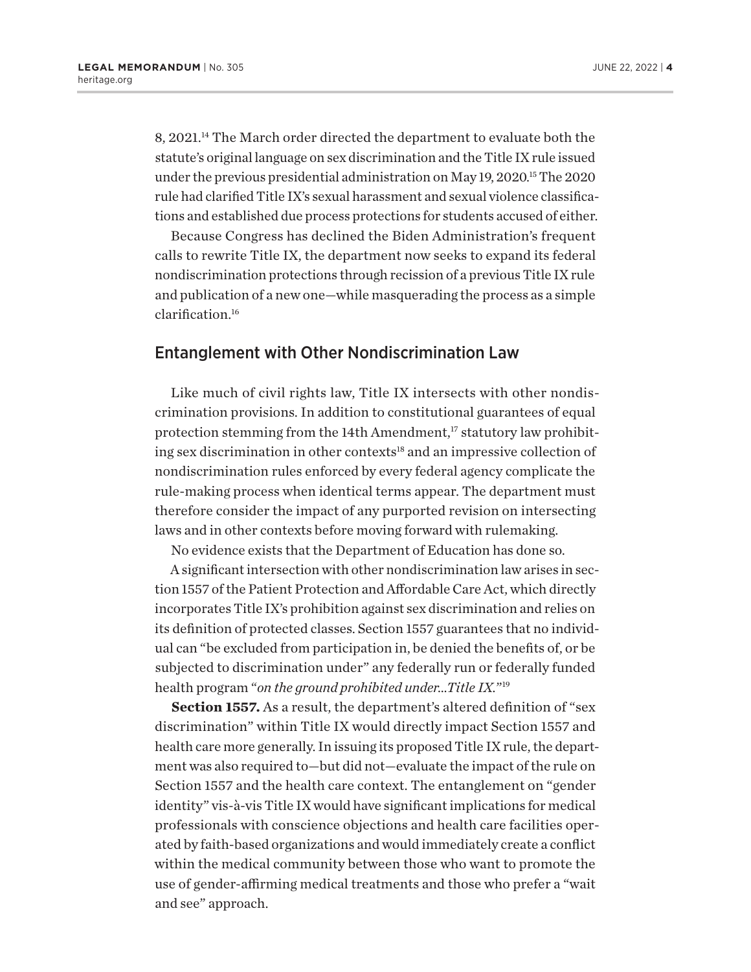<span id="page-3-0"></span>8, 2021[.14](#page-14-0) The March order directed the department to evaluate both the statute's original language on sex discrimination and the Title IX rule issued under the previous presidential administration on May 19, 2020.<sup>15</sup> The 2020 rule had clarified Title IX's sexual harassment and sexual violence classifications and established due process protections for students accused of either.

Because Congress has declined the Biden Administration's frequent calls to rewrite Title IX, the department now seeks to expand its federal nondiscrimination protections through recission of a previous Title IX rule and publication of a new one—while masquerading the process as a simple clarification.[16](#page-14-0)

#### Entanglement with Other Nondiscrimination Law

Like much of civil rights law, Title IX intersects with other nondiscrimination provisions. In addition to constitutional guarantees of equal protection stemming from the 14th Amendment,<sup>17</sup> statutory law prohibiting sex discrimination in other contexts<sup>18</sup> and an impressive collection of nondiscrimination rules enforced by every federal agency complicate the rule-making process when identical terms appear. The department must therefore consider the impact of any purported revision on intersecting laws and in other contexts before moving forward with rulemaking.

No evidence exists that the Department of Education has done so.

A significant intersection with other nondiscrimination law arises in section 1557 of the Patient Protection and Affordable Care Act, which directly incorporates Title IX's prohibition against sex discrimination and relies on its definition of protected classes. Section 1557 guarantees that no individual can "be excluded from participation in, be denied the benefits of, or be subjected to discrimination under" any federally run or federally funded health program "*on the ground prohibited under…Title IX.*"[19](#page-14-0)

**Section 1557.** As a result, the department's altered definition of "sex discrimination" within Title IX would directly impact Section 1557 and health care more generally. In issuing its proposed Title IX rule, the department was also required to—but did not—evaluate the impact of the rule on Section 1557 and the health care context. The entanglement on "gender identity" vis-à-vis Title IX would have significant implications for medical professionals with conscience objections and health care facilities operated by faith-based organizations and would immediately create a conflict within the medical community between those who want to promote the use of gender-affirming medical treatments and those who prefer a "wait and see" approach.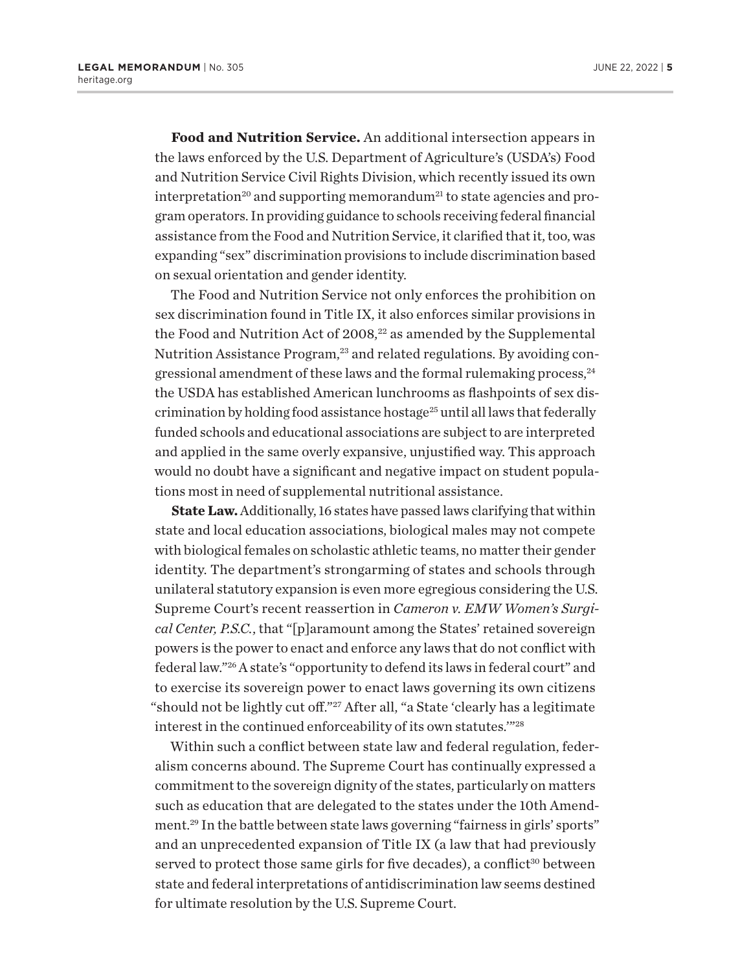<span id="page-4-0"></span>**Food and Nutrition Service.** An additional intersection appears in the laws enforced by the U.S. Department of Agriculture's (USDA's) Food and Nutrition Service Civil Rights Division, which recently issued its own interpretation<sup>20</sup> and supporting memorandum<sup>21</sup> to state agencies and program operators. In providing guidance to schools receiving federal financial assistance from the Food and Nutrition Service, it clarified that it, too, was expanding "sex" discrimination provisions to include discrimination based on sexual orientation and gender identity.

The Food and Nutrition Service not only enforces the prohibition on sex discrimination found in Title IX, it also enforces similar provisions in the Food and Nutrition Act of  $2008$ ,<sup>22</sup> as amended by the Supplemental Nutrition Assistance Program,<sup>23</sup> and related regulations. By avoiding congressional amendment of these laws and the formal rulemaking process,<sup>24</sup> the USDA has established American lunchrooms as flashpoints of sex discrimination by holding food assistance hostage<sup>25</sup> until all laws that federally funded schools and educational associations are subject to are interpreted and applied in the same overly expansive, unjustified way. This approach would no doubt have a significant and negative impact on student populations most in need of supplemental nutritional assistance.

**State Law.** Additionally, 16 states have passed laws clarifying that within state and local education associations, biological males may not compete with biological females on scholastic athletic teams, no matter their gender identity. The department's strongarming of states and schools through unilateral statutory expansion is even more egregious considering the U.S. Supreme Court's recent reassertion in *Cameron v. EMW Women's Surgical Center, P.S.C.*, that "[p]aramount among the States' retained sovereign powers is the power to enact and enforce any laws that do not conflict with federal law."[26](#page-15-0) A state's "opportunity to defend its laws in federal court" and to exercise its sovereign power to enact laws governing its own citizens "should not be lightly cut off.["27](#page-15-0) After all, "a State 'clearly has a legitimate interest in the continued enforceability of its own statutes.'["28](#page-15-0)

Within such a conflict between state law and federal regulation, federalism concerns abound. The Supreme Court has continually expressed a commitment to the sovereign dignity of the states, particularly on matters such as education that are delegated to the states under the 10th Amendment.[29](#page-15-0) In the battle between state laws governing "fairness in girls' sports" and an unprecedented expansion of Title IX (a law that had previously served to protect those same girls for five decades), a conflict<sup>[30](#page-15-0)</sup> between state and federal interpretations of antidiscrimination law seems destined for ultimate resolution by the U.S. Supreme Court.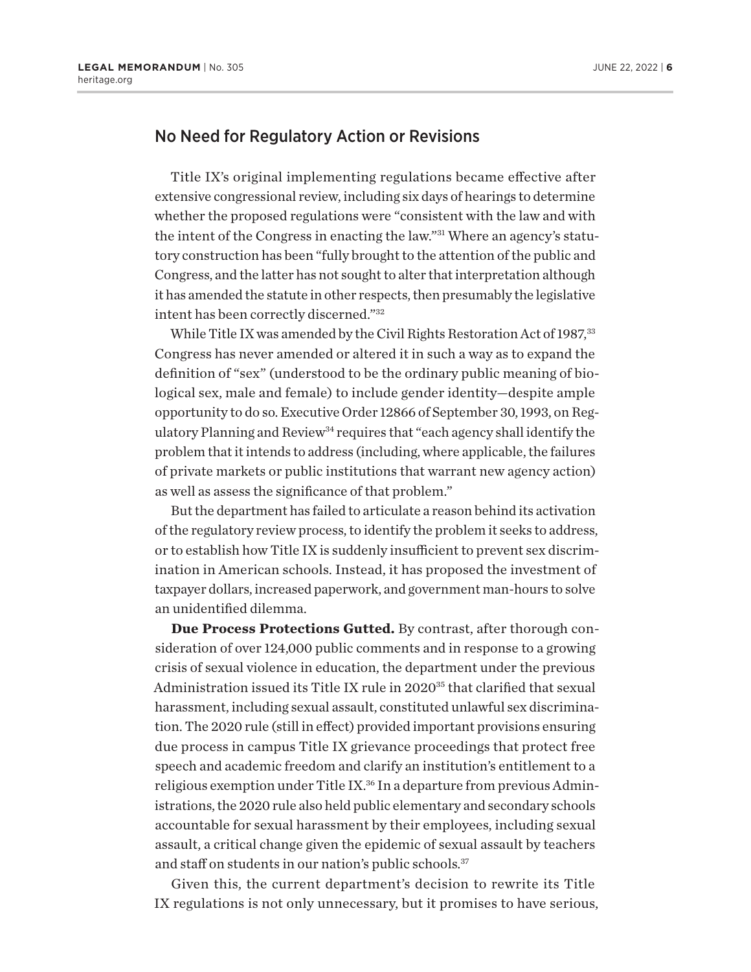### <span id="page-5-0"></span>No Need for Regulatory Action or Revisions

Title IX's original implementing regulations became effective after extensive congressional review, including six days of hearings to determine whether the proposed regulations were "consistent with the law and with the intent of the Congress in enacting the law."[31](#page-15-0) Where an agency's statutory construction has been "fully brought to the attention of the public and Congress, and the latter has not sought to alter that interpretation although it has amended the statute in other respects, then presumably the legislative intent has been correctly discerned.["32](#page-15-0)

While Title IX was amended by the Civil Rights Restoration Act of 1987,<sup>[33](#page-15-0)</sup> Congress has never amended or altered it in such a way as to expand the definition of "sex" (understood to be the ordinary public meaning of biological sex, male and female) to include gender identity—despite ample opportunity to do so. Executive Order 12866 of September 30, 1993, on Regulatory Planning and Review<sup>34</sup> requires that "each agency shall identify the problem that it intends to address (including, where applicable, the failures of private markets or public institutions that warrant new agency action) as well as assess the significance of that problem."

But the department has failed to articulate a reason behind its activation of the regulatory review process, to identify the problem it seeks to address, or to establish how Title IX is suddenly insufficient to prevent sex discrimination in American schools. Instead, it has proposed the investment of taxpayer dollars, increased paperwork, and government man-hours to solve an unidentified dilemma.

**Due Process Protections Gutted.** By contrast, after thorough consideration of over 124,000 public comments and in response to a growing crisis of sexual violence in education, the department under the previous Administration issued its Title IX rule in 2020<sup>35</sup> that clarified that sexual harassment, including sexual assault, constituted unlawful sex discrimination. The 2020 rule (still in effect) provided important provisions ensuring due process in campus Title IX grievance proceedings that protect free speech and academic freedom and clarify an institution's entitlement to a religious exemption under Title IX.<sup>36</sup> In a departure from previous Administrations, the 2020 rule also held public elementary and secondary schools accountable for sexual harassment by their employees, including sexual assault, a critical change given the epidemic of sexual assault by teachers and staff on students in our nation's public schools.<sup>[37](#page-15-0)</sup>

Given this, the current department's decision to rewrite its Title IX regulations is not only unnecessary, but it promises to have serious,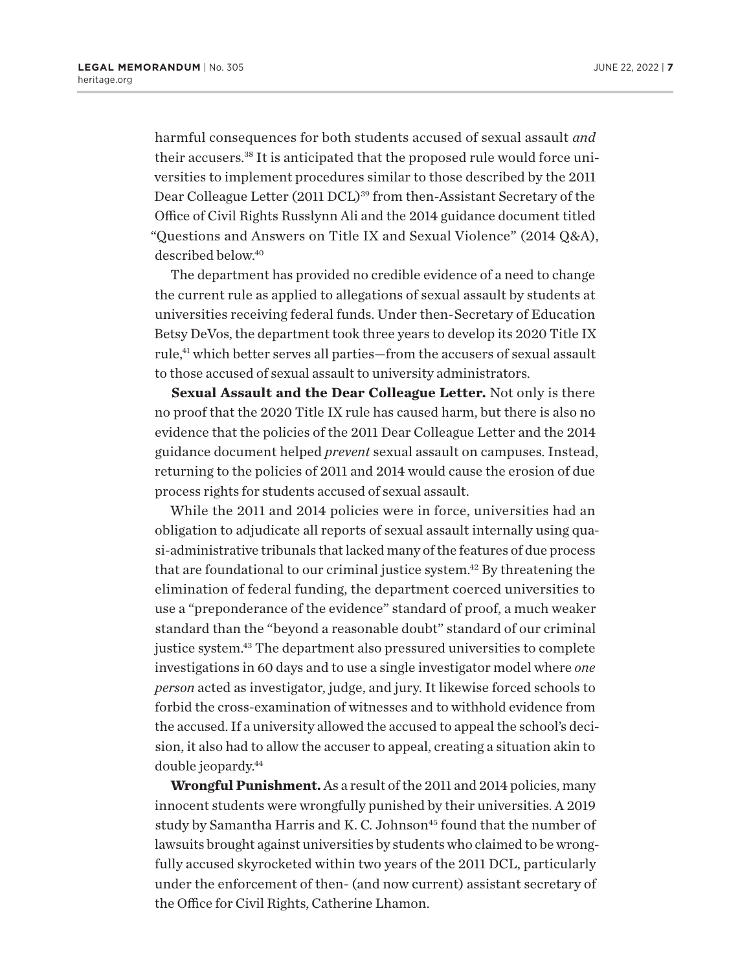<span id="page-6-0"></span>harmful consequences for both students accused of sexual assault *and* their accusers[.38](#page-15-0) It is anticipated that the proposed rule would force universities to implement procedures similar to those described by the 2011 Dear Colleague Letter (2011 DCL)<sup>39</sup> from then-Assistant Secretary of the Office of Civil Rights Russlynn Ali and the 2014 guidance document titled "Questions and Answers on Title IX and Sexual Violence" (2014 Q&A), described below[.40](#page-15-0)

The department has provided no credible evidence of a need to change the current rule as applied to allegations of sexual assault by students at universities receiving federal funds. Under then-Secretary of Education Betsy DeVos, the department took three years to develop its 2020 Title IX rule[,41](#page-15-0) which better serves all parties—from the accusers of sexual assault to those accused of sexual assault to university administrators.

**Sexual Assault and the Dear Colleague Letter.** Not only is there no proof that the 2020 Title IX rule has caused harm, but there is also no evidence that the policies of the 2011 Dear Colleague Letter and the 2014 guidance document helped *prevent* sexual assault on campuses. Instead, returning to the policies of 2011 and 2014 would cause the erosion of due process rights for students accused of sexual assault.

While the 2011 and 2014 policies were in force, universities had an obligation to adjudicate all reports of sexual assault internally using quasi-administrative tribunals that lacked many of the features of due process that are foundational to our criminal justice system.<sup>42</sup> By threatening the elimination of federal funding, the department coerced universities to use a "preponderance of the evidence" standard of proof, a much weaker standard than the "beyond a reasonable doubt" standard of our criminal justice system[.43](#page-15-0) The department also pressured universities to complete investigations in 60 days and to use a single investigator model where *one person* acted as investigator, judge, and jury. It likewise forced schools to forbid the cross-examination of witnesses and to withhold evidence from the accused. If a university allowed the accused to appeal the school's decision, it also had to allow the accuser to appeal, creating a situation akin to double jeopardy[.44](#page-16-0)

**Wrongful Punishment.** As a result of the 2011 and 2014 policies, many innocent students were wrongfully punished by their universities. A 2019 study by Samantha Harris and K. C. Johnson<sup>45</sup> found that the number of lawsuits brought against universities by students who claimed to be wrongfully accused skyrocketed within two years of the 2011 DCL, particularly under the enforcement of then- (and now current) assistant secretary of the Office for Civil Rights, Catherine Lhamon.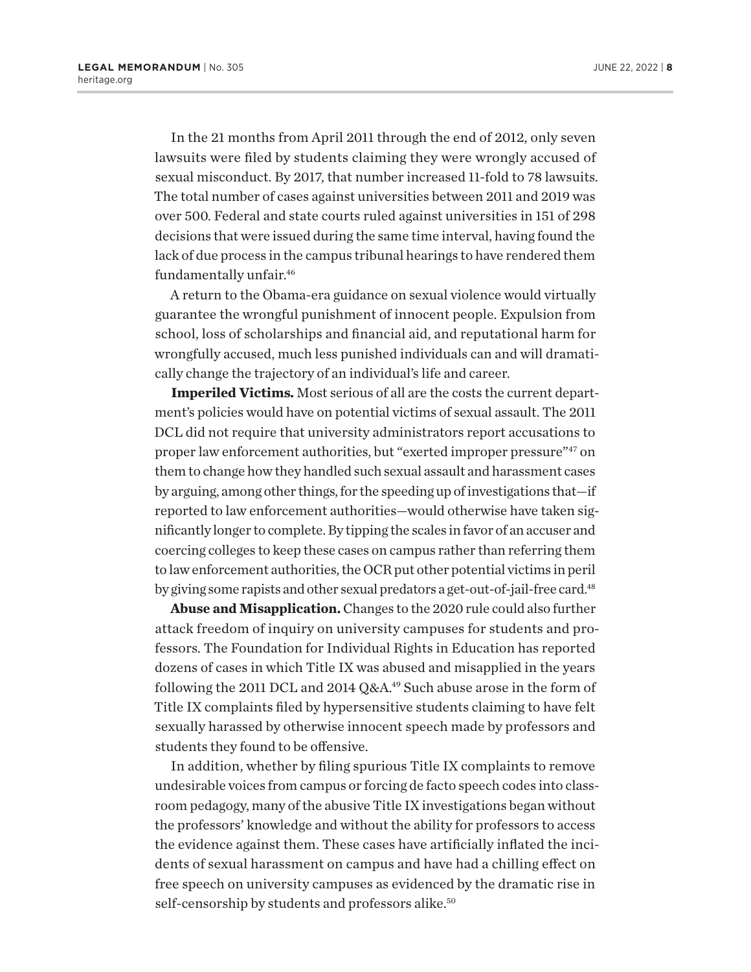<span id="page-7-0"></span>In the 21 months from April 2011 through the end of 2012, only seven lawsuits were filed by students claiming they were wrongly accused of sexual misconduct. By 2017, that number increased 11-fold to 78 lawsuits. The total number of cases against universities between 2011 and 2019 was over 500. Federal and state courts ruled against universities in 151 of 298 decisions that were issued during the same time interval, having found the lack of due process in the campus tribunal hearings to have rendered them fundamentally unfair[.46](#page-16-0)

A return to the Obama-era guidance on sexual violence would virtually guarantee the wrongful punishment of innocent people. Expulsion from school, loss of scholarships and financial aid, and reputational harm for wrongfully accused, much less punished individuals can and will dramatically change the trajectory of an individual's life and career.

**Imperiled Victims.** Most serious of all are the costs the current department's policies would have on potential victims of sexual assault. The 2011 DCL did not require that university administrators report accusations to proper law enforcement authorities, but "exerted improper pressure"[47](#page-16-0) on them to change how they handled such sexual assault and harassment cases by arguing, among other things, for the speeding up of investigations that—if reported to law enforcement authorities—would otherwise have taken significantly longer to complete. By tipping the scales in favor of an accuser and coercing colleges to keep these cases on campus rather than referring them to law enforcement authorities, the OCR put other potential victims in peril by giving some rapists and other sexual predators a get-out-of-jail-free card.<sup>48</sup>

**Abuse and Misapplication.** Changes to the 2020 rule could also further attack freedom of inquiry on university campuses for students and professors. The Foundation for Individual Rights in Education has reported dozens of cases in which Title IX was abused and misapplied in the years following the 2011 DCL and 2014 Q&A.<sup>49</sup> Such abuse arose in the form of Title IX complaints filed by hypersensitive students claiming to have felt sexually harassed by otherwise innocent speech made by professors and students they found to be offensive.

In addition, whether by filing spurious Title IX complaints to remove undesirable voices from campus or forcing de facto speech codes into classroom pedagogy, many of the abusive Title IX investigations began without the professors' knowledge and without the ability for professors to access the evidence against them. These cases have artificially inflated the incidents of sexual harassment on campus and have had a chilling effect on free speech on university campuses as evidenced by the dramatic rise in self-censorship by students and professors alike.<sup>50</sup>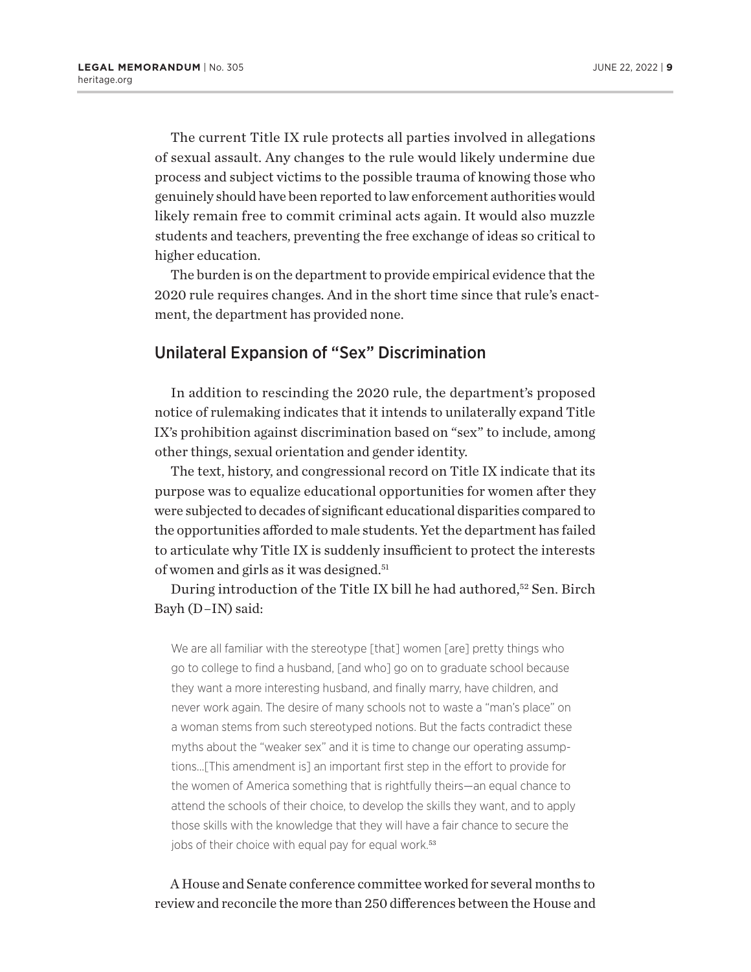<span id="page-8-0"></span>The current Title IX rule protects all parties involved in allegations of sexual assault. Any changes to the rule would likely undermine due process and subject victims to the possible trauma of knowing those who genuinely should have been reported to law enforcement authorities would likely remain free to commit criminal acts again. It would also muzzle students and teachers, preventing the free exchange of ideas so critical to higher education.

The burden is on the department to provide empirical evidence that the 2020 rule requires changes. And in the short time since that rule's enactment, the department has provided none.

#### Unilateral Expansion of "Sex" Discrimination

In addition to rescinding the 2020 rule, the department's proposed notice of rulemaking indicates that it intends to unilaterally expand Title IX's prohibition against discrimination based on "sex" to include, among other things, sexual orientation and gender identity.

The text, history, and congressional record on Title IX indicate that its purpose was to equalize educational opportunities for women after they were subjected to decades of significant educational disparities compared to the opportunities afforded to male students. Yet the department has failed to articulate why Title IX is suddenly insufficient to protect the interests of women and girls as it was designed.[51](#page-16-0)

During introduction of the Title IX bill he had authored,<sup>[52](#page-16-0)</sup> Sen. Birch Bayh (D–IN) said:

We are all familiar with the stereotype [that] women [are] pretty things who go to college to find a husband, [and who] go on to graduate school because they want a more interesting husband, and finally marry, have children, and never work again. The desire of many schools not to waste a "man's place" on a woman stems from such stereotyped notions. But the facts contradict these myths about the "weaker sex" and it is time to change our operating assumptions…[This amendment is] an important first step in the effort to provide for the women of America something that is rightfully theirs—an equal chance to attend the schools of their choice, to develop the skills they want, and to apply those skills with the knowledge that they will have a fair chance to secure the jobs of their choice with equal pay for equal work.<sup>[53](#page-16-0)</sup>

A House and Senate conference committee worked for several months to review and reconcile the more than 250 differences between the House and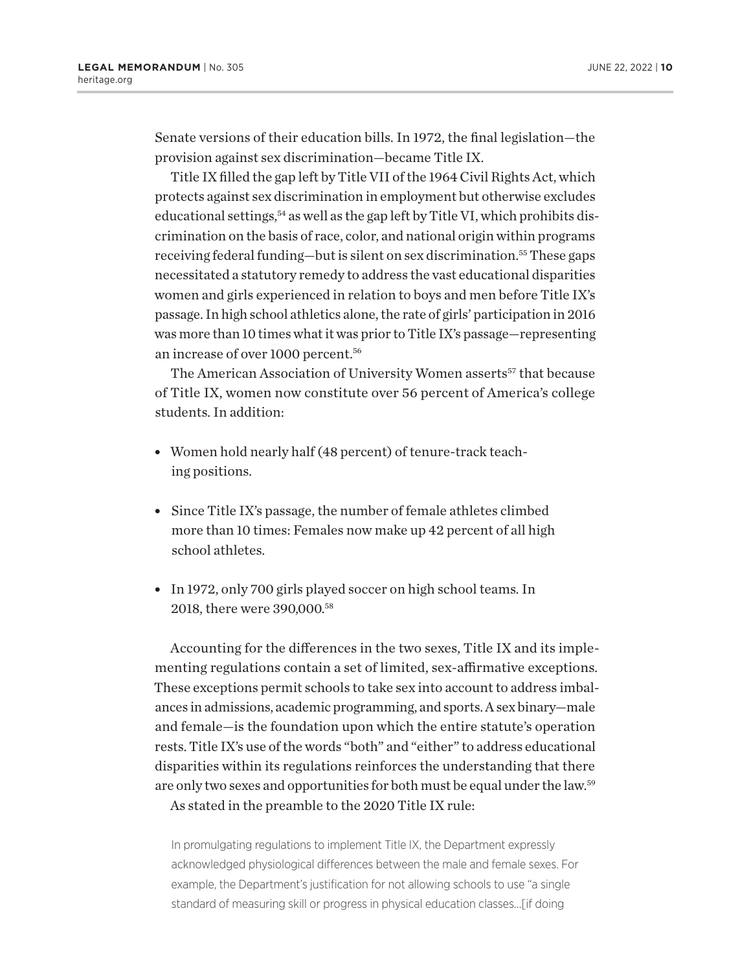<span id="page-9-0"></span>Senate versions of their education bills. In 1972, the final legislation—the provision against sex discrimination—became Title IX.

Title IX filled the gap left by Title VII of the 1964 Civil Rights Act, which protects against sex discrimination in employment but otherwise excludes educational settings,  $54$  as well as the gap left by Title VI, which prohibits discrimination on the basis of race, color, and national origin within programs receiving federal funding—but is silent on sex discrimination.<sup>55</sup> These gaps necessitated a statutory remedy to address the vast educational disparities women and girls experienced in relation to boys and men before Title IX's passage. In high school athletics alone, the rate of girls' participation in 2016 was more than 10 times what it was prior to Title IX's passage—representing an increase of over 1000 percent.[56](#page-16-0)

The American Association of University Women asserts<sup>57</sup> that because of Title IX, women now constitute over 56 percent of America's college students. In addition:

- Women hold nearly half (48 percent) of tenure-track teaching positions.
- $\bullet$  Since Title IX's passage, the number of female athletes climbed more than 10 times: Females now make up 42 percent of all high school athletes.
- In 1972, only 700 girls played soccer on high school teams. In 2018, there were 390,000.[58](#page-16-0)

Accounting for the differences in the two sexes, Title IX and its implementing regulations contain a set of limited, sex-affirmative exceptions. These exceptions permit schools to take sex into account to address imbalances in admissions, academic programming, and sports. A sex binary—male and female—is the foundation upon which the entire statute's operation rests. Title IX's use of the words "both" and "either" to address educational disparities within its regulations reinforces the understanding that there are only two sexes and opportunities for both must be equal under the law.[59](#page-16-0) As stated in the preamble to the 2020 Title IX rule:

In promulgating regulations to implement Title IX, the Department expressly acknowledged physiological differences between the male and female sexes. For example, the Department's justification for not allowing schools to use "a single standard of measuring skill or progress in physical education classes…[if doing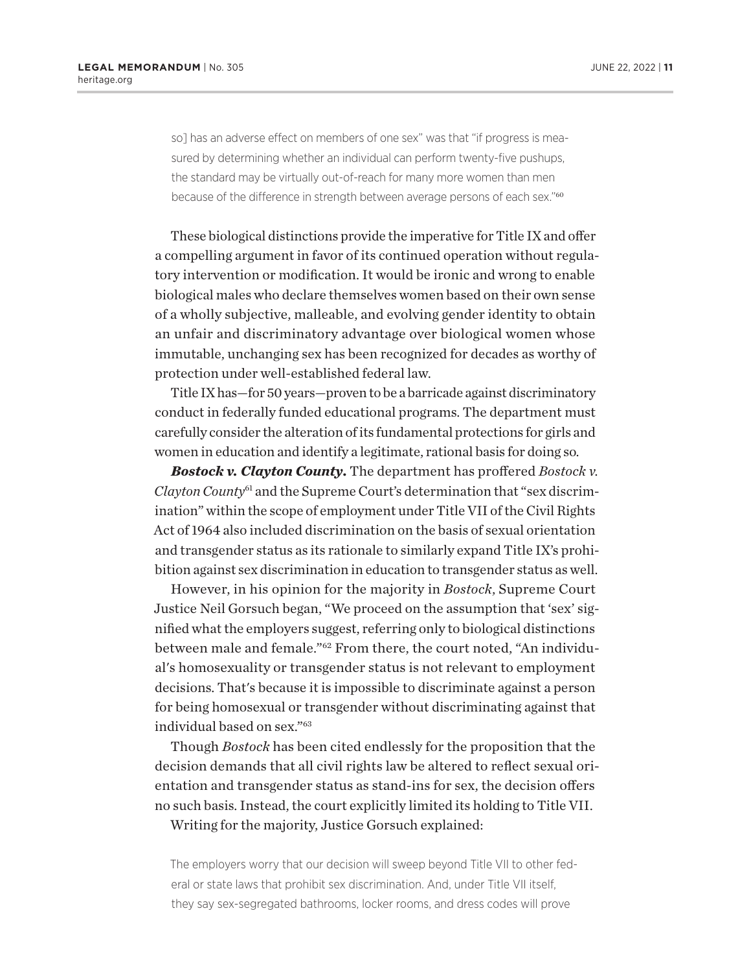<span id="page-10-0"></span>so] has an adverse effect on members of one sex" was that "if progress is measured by determining whether an individual can perform twenty-five pushups, the standard may be virtually out-of-reach for many more women than men because of the difference in strength between average persons of each sex."<sup>[60](#page-16-0)</sup>

These biological distinctions provide the imperative for Title IX and offer a compelling argument in favor of its continued operation without regulatory intervention or modification. It would be ironic and wrong to enable biological males who declare themselves women based on their own sense of a wholly subjective, malleable, and evolving gender identity to obtain an unfair and discriminatory advantage over biological women whose immutable, unchanging sex has been recognized for decades as worthy of protection under well-established federal law.

Title IX has—for 50 years—proven to be a barricade against discriminatory conduct in federally funded educational programs. The department must carefully consider the alteration of its fundamental protections for girls and women in education and identify a legitimate, rational basis for doing so.

*Bostock v. Clayton County***.** The department has proffered *Bostock v. Clayton County*[61](#page-16-0) and the Supreme Court's determination that "sex discrimination" within the scope of employment under Title VII of the Civil Rights Act of 1964 also included discrimination on the basis of sexual orientation and transgender status as its rationale to similarly expand Title IX's prohibition against sex discrimination in education to transgender status as well.

However, in his opinion for the majority in *Bostock*, Supreme Court Justice Neil Gorsuch began, "We proceed on the assumption that 'sex' signified what the employers suggest, referring only to biological distinctions between male and female."[62](#page-16-0) From there, the court noted, "An individual's homosexuality or transgender status is not relevant to employment decisions. That's because it is impossible to discriminate against a person for being homosexual or transgender without discriminating against that individual based on sex.["63](#page-16-0)

Though *Bostock* has been cited endlessly for the proposition that the decision demands that all civil rights law be altered to reflect sexual orientation and transgender status as stand-ins for sex, the decision offers no such basis. Instead, the court explicitly limited its holding to Title VII. Writing for the majority, Justice Gorsuch explained:

The employers worry that our decision will sweep beyond Title VII to other federal or state laws that prohibit sex discrimination. And, under Title VII itself, they say sex-segregated bathrooms, locker rooms, and dress codes will prove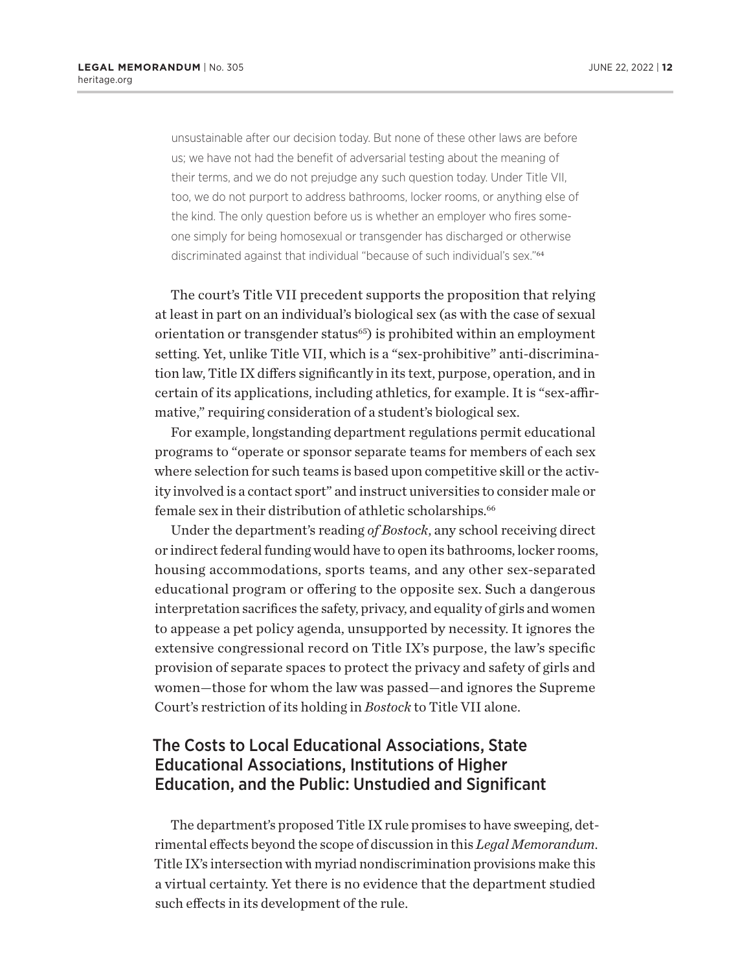<span id="page-11-0"></span>unsustainable after our decision today. But none of these other laws are before us; we have not had the benefit of adversarial testing about the meaning of their terms, and we do not prejudge any such question today. Under Title VII, too, we do not purport to address bathrooms, locker rooms, or anything else of the kind. The only question before us is whether an employer who fires someone simply for being homosexual or transgender has discharged or otherwise discriminated against that individual "because of such individual's sex."[64](#page-16-0)

The court's Title VII precedent supports the proposition that relying at least in part on an individual's biological sex (as with the case of sexual orientation or transgender status<sup>65</sup>) is prohibited within an employment setting. Yet, unlike Title VII, which is a "sex-prohibitive" anti-discrimination law, Title IX differs significantly in its text, purpose, operation, and in certain of its applications, including athletics, for example. It is "sex-affirmative," requiring consideration of a student's biological sex.

For example, longstanding department regulations permit educational programs to "operate or sponsor separate teams for members of each sex where selection for such teams is based upon competitive skill or the activity involved is a contact sport" and instruct universities to consider male or female sex in their distribution of athletic scholarships.<sup>[66](#page-16-0)</sup>

Under the department's reading *of Bostock*, any school receiving direct or indirect federal funding would have to open its bathrooms, locker rooms, housing accommodations, sports teams, and any other sex-separated educational program or offering to the opposite sex. Such a dangerous interpretation sacrifices the safety, privacy, and equality of girls and women to appease a pet policy agenda, unsupported by necessity. It ignores the extensive congressional record on Title IX's purpose, the law's specific provision of separate spaces to protect the privacy and safety of girls and women—those for whom the law was passed—and ignores the Supreme Court's restriction of its holding in *Bostock* to Title VII alone.

# The Costs to Local Educational Associations, State Educational Associations, Institutions of Higher Education, and the Public: Unstudied and Significant

The department's proposed Title IX rule promises to have sweeping, detrimental effects beyond the scope of discussion in this *Legal Memorandum*. Title IX's intersection with myriad nondiscrimination provisions make this a virtual certainty. Yet there is no evidence that the department studied such effects in its development of the rule.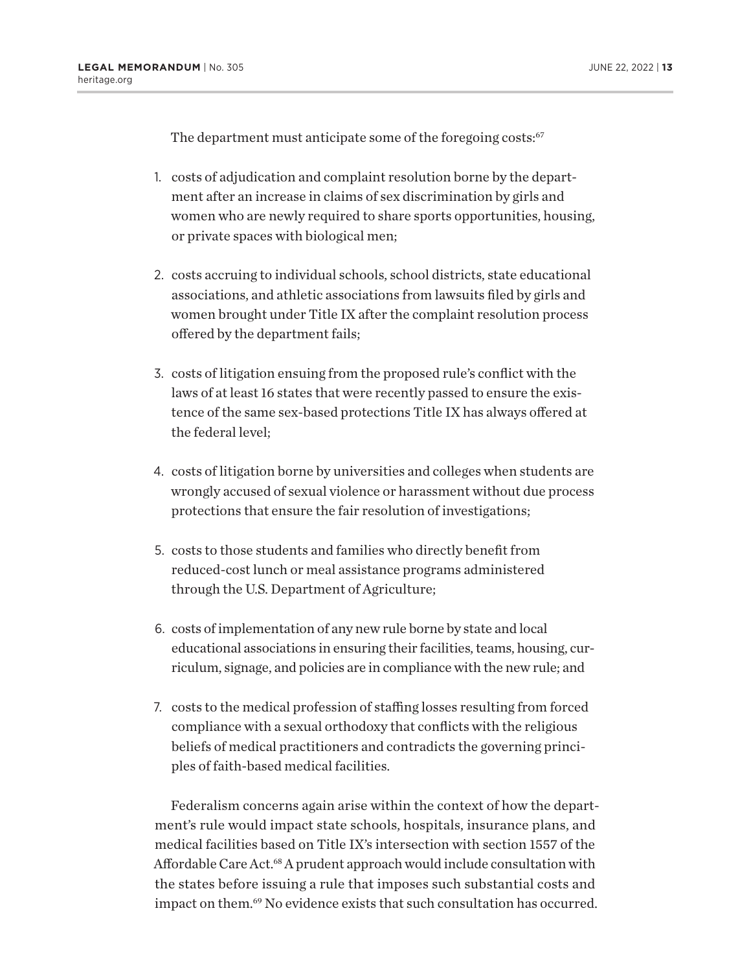<span id="page-12-0"></span>The department must anticipate some of the foregoing costs:<sup>[67](#page-16-0)</sup>

- 1. costs of adjudication and complaint resolution borne by the department after an increase in claims of sex discrimination by girls and women who are newly required to share sports opportunities, housing, or private spaces with biological men;
- 2. costs accruing to individual schools, school districts, state educational associations, and athletic associations from lawsuits filed by girls and women brought under Title IX after the complaint resolution process offered by the department fails;
- 3. costs of litigation ensuing from the proposed rule's conflict with the laws of at least 16 states that were recently passed to ensure the existence of the same sex-based protections Title IX has always offered at the federal level;
- 4. costs of litigation borne by universities and colleges when students are wrongly accused of sexual violence or harassment without due process protections that ensure the fair resolution of investigations;
- 5. costs to those students and families who directly benefit from reduced-cost lunch or meal assistance programs administered through the U.S. Department of Agriculture;
- 6. costs of implementation of any new rule borne by state and local educational associations in ensuring their facilities, teams, housing, curriculum, signage, and policies are in compliance with the new rule; and
- 7. costs to the medical profession of staffing losses resulting from forced compliance with a sexual orthodoxy that conflicts with the religious beliefs of medical practitioners and contradicts the governing principles of faith-based medical facilities.

Federalism concerns again arise within the context of how the department's rule would impact state schools, hospitals, insurance plans, and medical facilities based on Title IX's intersection with section 1557 of the Affordable Care Act.<sup>68</sup> A prudent approach would include consultation with the states before issuing a rule that imposes such substantial costs and impact on them[.69](#page-17-0) No evidence exists that such consultation has occurred.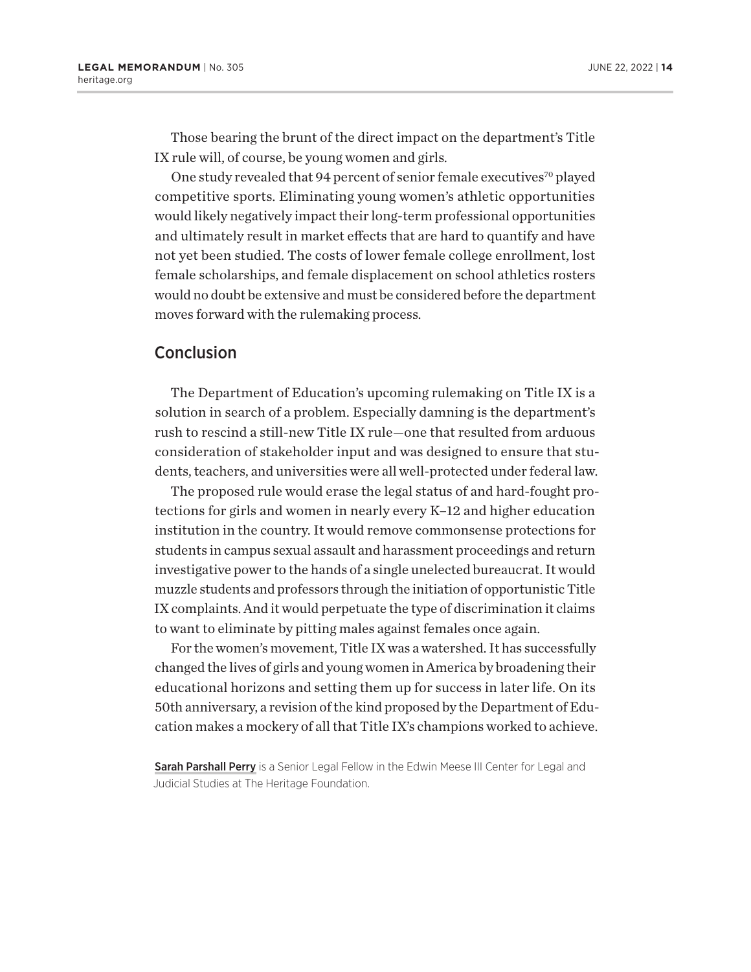<span id="page-13-0"></span>Those bearing the brunt of the direct impact on the department's Title IX rule will, of course, be young women and girls.

One study revealed that 94 percent of senior female executives<sup>[70](#page-17-0)</sup> played competitive sports. Eliminating young women's athletic opportunities would likely negatively impact their long-term professional opportunities and ultimately result in market effects that are hard to quantify and have not yet been studied. The costs of lower female college enrollment, lost female scholarships, and female displacement on school athletics rosters would no doubt be extensive and must be considered before the department moves forward with the rulemaking process.

### Conclusion

The Department of Education's upcoming rulemaking on Title IX is a solution in search of a problem. Especially damning is the department's rush to rescind a still-new Title IX rule—one that resulted from arduous consideration of stakeholder input and was designed to ensure that students, teachers, and universities were all well-protected under federal law.

The proposed rule would erase the legal status of and hard-fought protections for girls and women in nearly every K–12 and higher education institution in the country. It would remove commonsense protections for students in campus sexual assault and harassment proceedings and return investigative power to the hands of a single unelected bureaucrat. It would muzzle students and professors through the initiation of opportunistic Title IX complaints. And it would perpetuate the type of discrimination it claims to want to eliminate by pitting males against females once again.

For the women's movement, Title IX was a watershed. It has successfully changed the lives of girls and young women in America by broadening their educational horizons and setting them up for success in later life. On its 50th anniversary, a revision of the kind proposed by the Department of Education makes a mockery of all that Title IX's champions worked to achieve.

Sarah Parshall Perry is a Senior Legal Fellow in the Edwin Meese III Center for Legal and Judicial Studies at The Heritage Foundation.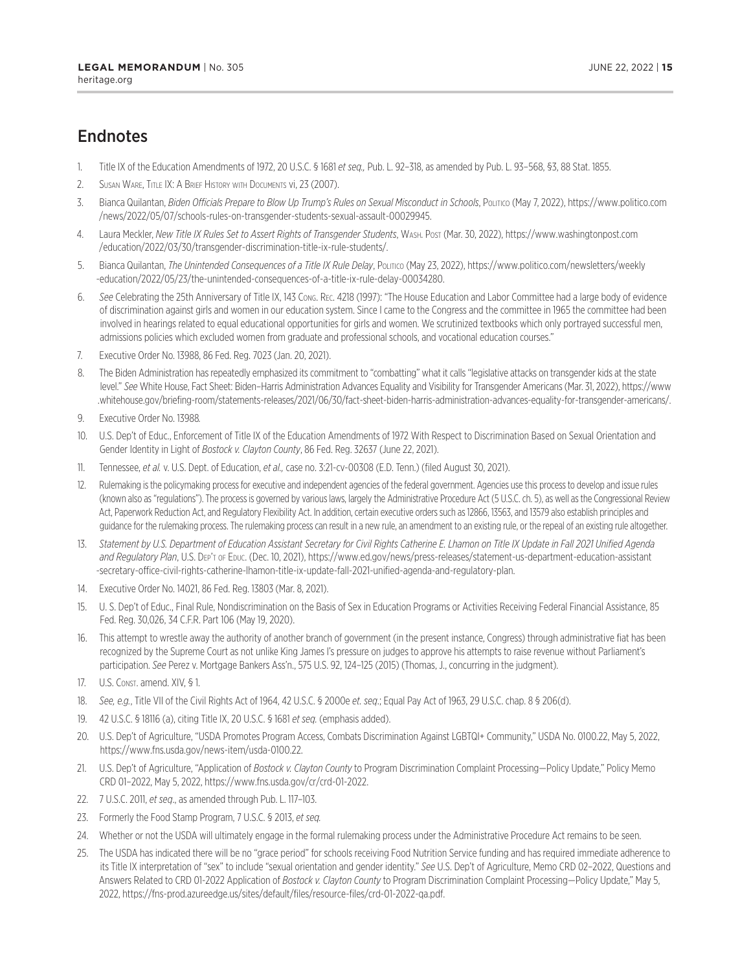## <span id="page-14-0"></span>**Endnotes**

- [1.](#page-0-0) Title IX of the Education Amendments of 1972, 20 U.S.C. § 1681 *et seq.,* Pub. L. 92–318, as amended by Pub. L. 93–568, §3, 88 Stat. 1855.
- [2.](#page-0-0) Susan Ware, Title IX: A Brief History with Documents vi. 23 (2007).
- [3.](#page-1-0) Bianca Quilantan, *Biden Officials Prepare to Blow Up Trump's Rules on Sexual Misconduct in Schools*, Polinco (May 7, 2022), [https://www.politico.com](https://www.politico.com/news/2022/05/07/schools-rules-on-transgender-students-sexual-assault-00029945) [/news/2022/05/07/schools-rules-on-transgender-students-sexual-assault-00029945.](https://www.politico.com/news/2022/05/07/schools-rules-on-transgender-students-sexual-assault-00029945)
- [4.](#page-1-0) Laura Meckler, *New Title IX Rules Set to Assert Rights of Transgender Students*, Wash. Post (Mar. 30, 2022), [https://www.washingtonpost.com](https://www.washingtonpost.com/education/2022/03/30/transgender-discrimination-title-ix-rule-students/) [/education/2022/03/30/transgender-discrimination-title-ix-rule-students/](https://www.washingtonpost.com/education/2022/03/30/transgender-discrimination-title-ix-rule-students/).
- [5](#page-1-0). Bianca Quilantan, *The Unintended Consequences of a Title IX Rule Delay*, Politico (May 23, 2022), [https://www.politico.com/newsletters/weekly](https://www.politico.com/newsletters/weekly-education/2022/05/23/the-unintended-consequences-of-a-title-ix-rule-delay-00034280) [-education/2022/05/23/the-unintended-consequences-of-a-title-ix-rule-delay-00034280](https://www.politico.com/newsletters/weekly-education/2022/05/23/the-unintended-consequences-of-a-title-ix-rule-delay-00034280).
- [6](#page-1-0). *See* Celebrating the 25th Anniversary of Title IX, 143 Cong. Rec. 4218 (1997): "The House Education and Labor Committee had a large body of evidence of discrimination against girls and women in our education system. Since I came to the Congress and the committee in 1965 the committee had been involved in hearings related to equal educational opportunities for girls and women. We scrutinized textbooks which only portrayed successful men, admissions policies which excluded women from graduate and professional schools, and vocational education courses."
- [7.](#page-1-0) Executive Order No. 13988, 86 Fed. Reg. 7023 (Jan. 20, 2021).
- [8](#page-1-0). The Biden Administration has repeatedly emphasized its commitment to "combatting" what it calls "legislative attacks on transgender kids at the state level." *See* White House, Fact Sheet: Biden–Harris Administration Advances Equality and Visibility for Transgender Americans (Mar. 31, 2022), [https://www](https://www.whitehouse.gov/briefing-room/statements-releases/2021/06/30/fact-sheet-biden-harris-administration-advances-equality-for-transgender-americans/) [.whitehouse.gov/briefing-room/statements-releases/2021/06/30/fact-sheet-biden-harris-administration-advances-equality-for-transgender-americans/.](https://www.whitehouse.gov/briefing-room/statements-releases/2021/06/30/fact-sheet-biden-harris-administration-advances-equality-for-transgender-americans/)
- [9](#page-2-0). Executive Order No. 13988*.*
- [10.](#page-2-0) U.S. Dep't of Educ., Enforcement of Title IX of the Education Amendments of 1972 With Respect to Discrimination Based on Sexual Orientation and Gender Identity in Light of *Bostock v. Clayton County*, 86 Fed. Reg. 32637 (June 22, 2021).
- [11.](#page-2-0) Tennessee, *et al.* v. U.S. Dept. of Education, *et al.,* case no. 3:21-cv-00308 (E.D. Tenn.) (filed August 30, 2021).
- [12.](#page-2-0) Rulemaking is the policymaking process for executive and independent agencies of the federal government. Agencies use this process to develop and issue rules (known also as "regulations"). The process is governed by various laws, largely the Administrative Procedure Act (5 U.S.C. ch. 5), as well as the Congressional Review Act, Paperwork Reduction Act, and Regulatory Flexibility Act. In addition, certain executive orders such as 12866, 13563, and 13579 also establish principles and guidance for the rulemaking process. The rulemaking process can result in a new rule, an amendment to an existing rule, or the repeal of an existing rule altogether.
- [13](#page-2-0). *Statement by U.S. Department of Education Assistant Secretary for Civil Rights Catherine E. Lhamon on Title IX Update in Fall 2021 Unified Agenda and Regulatory Plan*, U.S. Dep't of Educ. (Dec. 10, 2021), [https://www.ed.gov/news/press-releases/statement-us-department-education-assistant](https://www.ed.gov/news/press-releases/statement-us-department-education-assistant-secretary-office-civil-rights-catherine-lhamon-title-ix-update-fall-2021-unified-agenda-and-regulatory-plan) [-secretary-office-civil-rights-catherine-lhamon-title-ix-update-fall-2021-unified-agenda-and-regulatory-plan.](https://www.ed.gov/news/press-releases/statement-us-department-education-assistant-secretary-office-civil-rights-catherine-lhamon-title-ix-update-fall-2021-unified-agenda-and-regulatory-plan)
- [14.](#page-3-0) Executive Order No. 14021, 86 Fed. Reg. 13803 (Mar. 8, 2021).
- [15](#page-3-0). U. S. Dep't of Educ., Final Rule, Nondiscrimination on the Basis of Sex in Education Programs or Activities Receiving Federal Financial Assistance, 85 Fed. Reg. 30,026, 34 C.F.R. Part 106 (May 19, 2020).
- [16.](#page-3-0) This attempt to wrestle away the authority of another branch of government (in the present instance, Congress) through administrative fiat has been recognized by the Supreme Court as not unlike King James I's pressure on judges to approve his attempts to raise revenue without Parliament's participation. *See* Perez v. Mortgage Bankers Ass'n., 575 U.S. 92, 124–125 (2015) (Thomas, J., concurring in the judgment).
- [17.](#page-3-0) U.S. Const. amend. XIV, § 1.
- [18](#page-3-0). *See, e.g.*, Title VII of the Civil Rights Act of 1964, 42 U.S.C. § 2000e *et. seq*.; Equal Pay Act of 1963, 29 U.S.C. chap. 8 § 206(d).
- [19.](#page-3-0) 42 U.S.C. § 18116 (a), citing Title IX, 20 U.S.C. § 1681 *et seq.* (emphasis added).
- [20.](#page-4-0) U.S. Dep't of Agriculture, "USDA Promotes Program Access, Combats Discrimination Against LGBTQI+ Community," USDA No. 0100.22, May 5, 2022, [https://www.fns.usda.gov/news-item/usda-0100.22.](https://www.fns.usda.gov/news-item/usda-0100.22)
- [21.](#page-4-0) U.S. Dep't of Agriculture, "Application of *Bostock v. Clayton County* to Program Discrimination Complaint Processing—Policy Update," Policy Memo CRD 01–2022, May 5, 2022, [https://www.fns.usda.gov/cr/crd-01-2022.](https://www.fns.usda.gov/cr/crd-01-2022)
- [22](#page-4-0). 7 U.S.C. 2011, *et seq*., as amended through Pub. L. 117–103.
- [23](#page-4-0). Formerly the Food Stamp Program, 7 U.S.C. § 2013, *et seq.*
- [24.](#page-4-0) Whether or not the USDA will ultimately engage in the formal rulemaking process under the Administrative Procedure Act remains to be seen.
- [25](#page-4-0). The USDA has indicated there will be no "grace period" for schools receiving Food Nutrition Service funding and has required immediate adherence to its Title IX interpretation of "sex" to include "sexual orientation and gender identity." *See* U.S. Dep't of Agriculture, Memo CRD 02–2022, Questions and Answers Related to CRD 01-2022 Application of *Bostock v. Clayton County* to Program Discrimination Complaint Processing—Policy Update," May 5, 2022, <https://fns-prod.azureedge.us/sites/default/files/resource-files/crd-01-2022-qa.pdf>.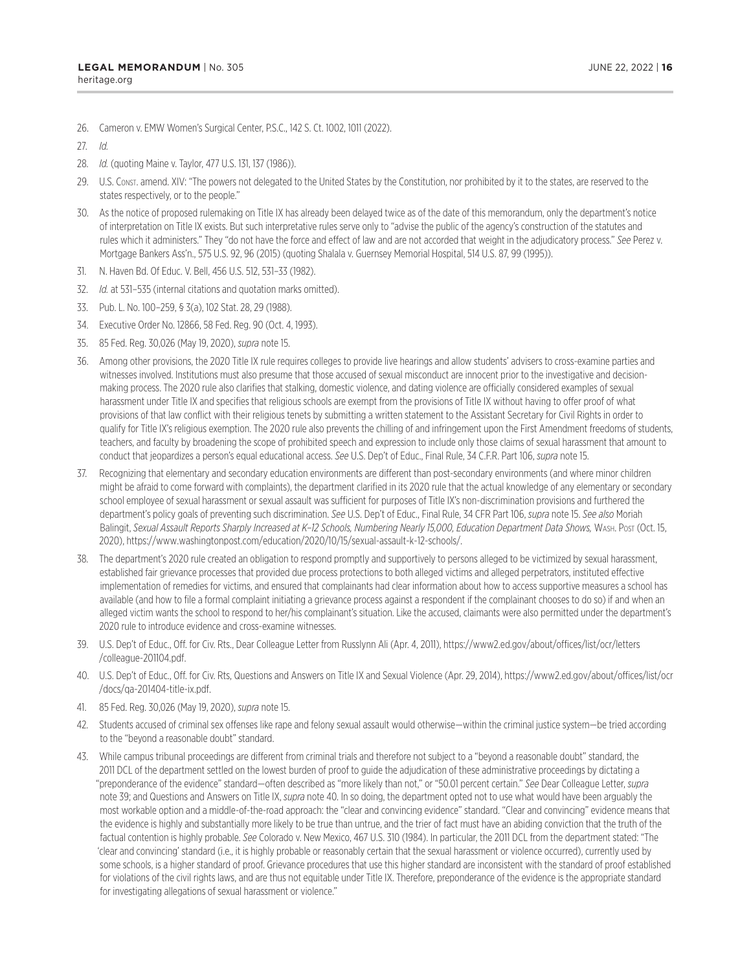- <span id="page-15-0"></span>[26.](#page-4-0) Cameron v. EMW Women's Surgical Center, P.S.C., 142 S. Ct. 1002, 1011 (2022).
- [27.](#page-4-0) *Id.*
- [28.](#page-4-0) *Id.* (quoting Maine v. Taylor, 477 U.S. 131, 137 (1986)).
- [29.](#page-4-0) U.S. Const. amend. XIV: "The powers not delegated to the United States by the Constitution, nor prohibited by it to the states, are reserved to the states respectively, or to the people."
- [30.](#page-4-0) As the notice of proposed rulemaking on Title IX has already been delayed twice as of the date of this memorandum, only the department's notice of interpretation on Title IX exists. But such interpretative rules serve only to "advise the public of the agency's construction of the statutes and rules which it administers." They "do not have the force and effect of law and are not accorded that weight in the adjudicatory process." *See* Perez v. Mortgage Bankers Ass'n., 575 U.S. 92, 96 (2015) (quoting Shalala v. Guernsey Memorial Hospital, 514 U.S. 87, 99 (1995)).
- [31.](#page-5-0) N. Haven Bd. Of Educ. V. Bell, 456 U.S. 512, 531–33 (1982).
- [32](#page-5-0). *Id.* at 531–535 (internal citations and quotation marks omitted).
- [33](#page-5-0). Pub. L. No. 100–259, § 3(a), 102 Stat. 28, 29 (1988).
- [34.](#page-5-0) Executive Order No. 12866, 58 Fed. Reg. 90 (Oct. 4, 1993).
- [35](#page-5-0). 85 Fed. Reg. 30,026 (May 19, 2020), *supra* note 15.
- [36.](#page-5-0) Among other provisions, the 2020 Title IX rule requires colleges to provide live hearings and allow students' advisers to cross-examine parties and witnesses involved. Institutions must also presume that those accused of sexual misconduct are innocent prior to the investigative and decisionmaking process. The 2020 rule also clarifies that stalking, domestic violence, and dating violence are officially considered examples of sexual harassment under Title IX and specifies that religious schools are exempt from the provisions of Title IX without having to offer proof of what provisions of that law conflict with their religious tenets by submitting a written statement to the Assistant Secretary for Civil Rights in order to qualify for Title IX's religious exemption. The 2020 rule also prevents the chilling of and infringement upon the First Amendment freedoms of students, teachers, and faculty by broadening the scope of prohibited speech and expression to include only those claims of sexual harassment that amount to conduct that jeopardizes a person's equal educational access. *See* U.S. Dep't of Educ., Final Rule, 34 C.F.R. Part 106, *supra* note 15.
- [37](#page-5-0). Recognizing that elementary and secondary education environments are different than post-secondary environments (and where minor children might be afraid to come forward with complaints), the department clarified in its 2020 rule that the actual knowledge of any elementary or secondary school employee of sexual harassment or sexual assault was sufficient for purposes of Title IX's non-discrimination provisions and furthered the department's policy goals of preventing such discrimination. *See* U.S. Dep't of Educ., Final Rule, 34 CFR Part 106, *supra* note 15. *See also* Moriah Balingit, *Sexual Assault Reports Sharply Increased at K–12 Schools, Numbering Nearly 15,000, Education Department Data Shows,* Wash. Post (Oct. 15, 2020),<https://www.washingtonpost.com/education/2020/10/15/sexual-assault-k-12-schools/>.
- [38](#page-6-0). The department's 2020 rule created an obligation to respond promptly and supportively to persons alleged to be victimized by sexual harassment, established fair grievance processes that provided due process protections to both alleged victims and alleged perpetrators, instituted effective implementation of remedies for victims, and ensured that complainants had clear information about how to access supportive measures a school has available (and how to file a formal complaint initiating a grievance process against a respondent if the complainant chooses to do so) if and when an alleged victim wants the school to respond to her/his complainant's situation. Like the accused, claimants were also permitted under the department's 2020 rule to introduce evidence and cross-examine witnesses.
- [39](#page-6-0). U.S. Dep't of Educ., Off. for Civ. Rts., Dear Colleague Letter from Russlynn Ali (Apr. 4, 2011), [https://www2.ed.gov/about/offices/list/ocr/letters](https://www2.ed.gov/about/offices/list/ocr/letters/colleague-201104.pdf) [/colleague-201104.pdf](https://www2.ed.gov/about/offices/list/ocr/letters/colleague-201104.pdf).
- [40](#page-6-0). U.S. Dep't of Educ., Off. for Civ. Rts, Questions and Answers on Title IX and Sexual Violence (Apr. 29, 2014), [https://www2.ed.gov/about/offices/list/ocr](https://www2.ed.gov/about/offices/list/ocr/docs/qa-201404-title-ix.pdf) [/docs/qa-201404-title-ix.pdf.](https://www2.ed.gov/about/offices/list/ocr/docs/qa-201404-title-ix.pdf)
- [41.](#page-6-0) 85 Fed. Reg. 30,026 (May 19, 2020), *supra* note 15.
- [42](#page-6-0). Students accused of criminal sex offenses like rape and felony sexual assault would otherwise—within the criminal justice system—be tried according to the "beyond a reasonable doubt" standard.
- [43](#page-6-0). While campus tribunal proceedings are different from criminal trials and therefore not subject to a "beyond a reasonable doubt" standard, the 2011 DCL of the department settled on the lowest burden of proof to guide the adjudication of these administrative proceedings by dictating a "preponderance of the evidence" standard—often described as "more likely than not," or "50.01 percent certain." *See* Dear Colleague Letter, *supra* note 39; and Questions and Answers on Title IX, *supra* note 40. In so doing, the department opted not to use what would have been arguably the most workable option and a middle-of-the-road approach: the "clear and convincing evidence" standard. "Clear and convincing" evidence means that the evidence is highly and substantially more likely to be true than untrue, and the trier of fact must have an abiding conviction that the truth of the factual contention is highly probable. *See* Colorado v. New Mexico, 467 U.S. 310 (1984). In particular, the 2011 DCL from the department stated: "The 'clear and convincing' standard (i.e., it is highly probable or reasonably certain that the sexual harassment or violence occurred), currently used by some schools, is a higher standard of proof. Grievance procedures that use this higher standard are inconsistent with the standard of proof established for violations of the civil rights laws, and are thus not equitable under Title IX. Therefore, preponderance of the evidence is the appropriate standard for investigating allegations of sexual harassment or violence."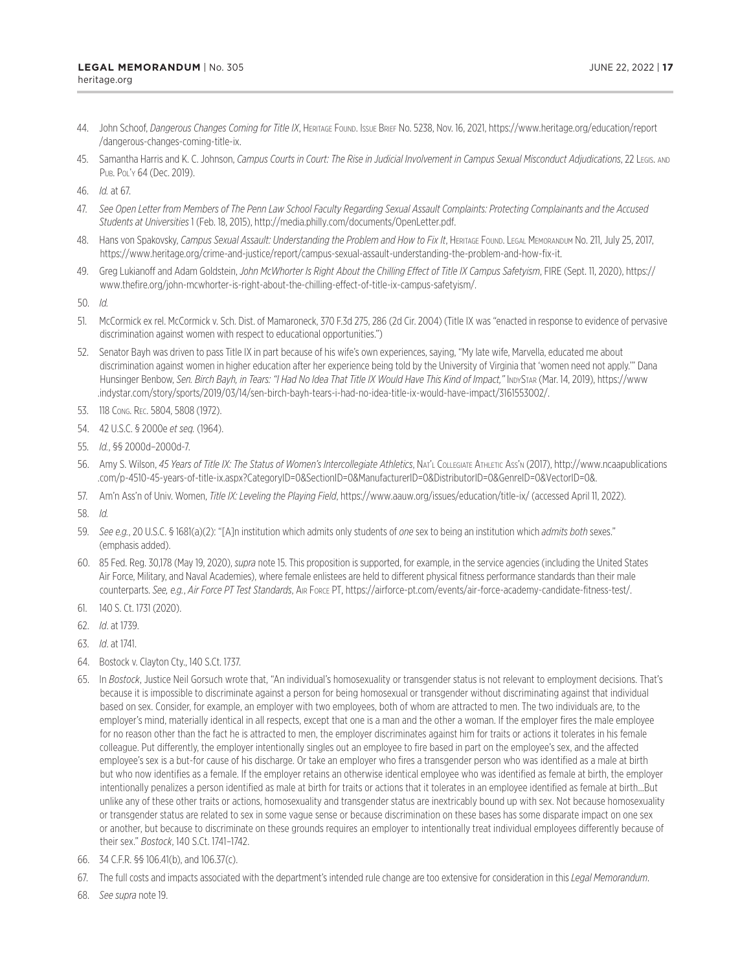- <span id="page-16-0"></span>[44.](#page-6-0) John Schoof, *Dangerous Changes Coming for Title IX*, Heritage Found. Issue Brief No. 5238, Nov. 16, 2021, [https://www.heritage.org/education/report](https://www.heritage.org/education/report/dangerous-changes-coming-title-ix) [/dangerous-changes-coming-title-ix](https://www.heritage.org/education/report/dangerous-changes-coming-title-ix).
- [45.](#page-6-0) Samantha Harris and K. C. Johnson, *Campus Courts in Court: The Rise in Judicial Involvement in Campus Sexual Misconduct Adjudications*, 22 Legis. and Pub. Pol'y 64 (Dec. 2019).
- [46.](#page-7-0) *Id.* at 67.
- [47.](#page-7-0) *See Open Letter from Members of The Penn Law School Faculty Regarding Sexual Assault Complaints: Protecting Complainants and the Accused Students at Universities* 1 (Feb. 18, 2015), <http://media.philly.com/documents/OpenLetter.pdf>.
- [48.](#page-7-0) Hans von Spakovsky, *Campus Sexual Assault: Understanding the Problem and How to Fix It*. HERITAGE FOUND, LEGAL MEMORANDUM NO. 211, July 25, 2017, [https://www.heritage.org/crime-and-justice/report/campus-sexual-assault-understanding-the-problem-and-how-fix-it.](https://www.heritage.org/crime-and-justice/report/campus-sexual-assault-understanding-the-problem-and-how-fix-it)
- [49.](#page-7-0) Greg Lukianoff and Adam Goldstein, *John McWhorter Is Right About the Chilling Effect of Title IX Campus Safetyism*, FIRE (Sept. 11, 2020), [https://](https://www.thefire.org/john-mcwhorter-is-right-about-the-chilling-effect-of-title-ix-campus-safetyism/) [www.thefire.org/john-mcwhorter-is-right-about-the-chilling-effect-of-title-ix-campus-safetyism/](https://www.thefire.org/john-mcwhorter-is-right-about-the-chilling-effect-of-title-ix-campus-safetyism/).
- [50](#page-7-0). *Id.*
- [51](#page-8-0). McCormick ex rel. McCormick v. Sch. Dist. of Mamaroneck, 370 F.3d 275, 286 (2d Cir. 2004) (Title IX was "enacted in response to evidence of pervasive discrimination against women with respect to educational opportunities.")
- [52.](#page-8-0) Senator Bayh was driven to pass Title IX in part because of his wife's own experiences, saying, "My late wife, Marvella, educated me about discrimination against women in higher education after her experience being told by the University of Virginia that 'women need not apply.'" Dana Hunsinger Benbow, Sen. Birch Bayh, in Tears: "I Had No Idea That Title IX Would Have This Kind of Impact," InpyStar (Mar. 14, 2019), [https://www](https://www.indystar.com/story/sports/2019/03/14/sen-birch-bayh-tears-i-had-no-idea-title-ix-would-have-impact/3161553002/) [.indystar.com/story/sports/2019/03/14/sen-birch-bayh-tears-i-had-no-idea-title-ix-would-have-impact/3161553002/.](https://www.indystar.com/story/sports/2019/03/14/sen-birch-bayh-tears-i-had-no-idea-title-ix-would-have-impact/3161553002/)
- [53.](#page-8-0) 118 Cong. Rec. 5804, 5808 (1972).
- [54](#page-9-0). 42 U.S.C. § 2000e *et seq.* (1964).
- [55.](#page-9-0) *Id.*, §§ 2000d–2000d-7.
- [56](#page-9-0). Amy S. Wilson, 45 Years of Title IX: The Status of Women's Intercollegiate Athletics, NAT'L COLLEGIATE ATHLETIC Ass'n (2017), [http://www.ncaapublications](http://www.ncaapublications.com/p-4510-45-years-of-title-ix.aspx?CategoryID=0&SectionID=0&ManufacturerID=0&DistributorID=0&GenreID=0&VectorID=0&) [.com/p-4510-45-years-of-title-ix.aspx?CategoryID=0&SectionID=0&ManufacturerID=0&DistributorID=0&GenreID=0&VectorID=0&.](http://www.ncaapublications.com/p-4510-45-years-of-title-ix.aspx?CategoryID=0&SectionID=0&ManufacturerID=0&DistributorID=0&GenreID=0&VectorID=0&)
- [57.](#page-9-0) Am'n Ass'n of Univ. Women, *Title IX: Leveling the Playing Field*, <https://www.aauw.org/issues/education/title-ix/>(accessed April 11, 2022).
- [58](#page-9-0). *Id.*
- [59](#page-9-0). *See e.g.*, 20 U.S.C. § 1681(a)(2): "[A]n institution which admits only students of *one* sex to being an institution which *admits both* sexes." (emphasis added).
- [60.](#page-10-0) 85 Fed. Reg. 30,178 (May 19, 2020), *supra* note 15. This proposition is supported, for example, in the service agencies (including the United States Air Force, Military, and Naval Academies), where female enlistees are held to different physical fitness performance standards than their male counterparts. *See, e.g.*, *Air Force PT Test Standards*, Air Force PT, [https://airforce-pt.com/events/air-force-academy-candidate-fitness-test/.](https://airforce-pt.com/events/air-force-academy-candidate-fitness-test/)
- [61.](#page-10-0) 140 S. Ct. 1731 (2020).
- [62](#page-10-0). *Id*. at 1739.
- [63](#page-10-0). *Id*. at 1741.
- [64.](#page-11-0) Bostock v. Clayton Cty., 140 S.Ct. 1737.
- [65](#page-11-0). In *Bostock*, Justice Neil Gorsuch wrote that, "An individual's homosexuality or transgender status is not relevant to employment decisions. That's because it is impossible to discriminate against a person for being homosexual or transgender without discriminating against that individual based on sex. Consider, for example, an employer with two employees, both of whom are attracted to men. The two individuals are, to the employer's mind, materially identical in all respects, except that one is a man and the other a woman. If the employer fires the male employee for no reason other than the fact he is attracted to men, the employer discriminates against him for traits or actions it tolerates in his female colleague. Put differently, the employer intentionally singles out an employee to fire based in part on the employee's sex, and the affected employee's sex is a but-for cause of his discharge. Or take an employer who fires a transgender person who was identified as a male at birth but who now identifies as a female. If the employer retains an otherwise identical employee who was identified as female at birth, the employer intentionally penalizes a person identified as male at birth for traits or actions that it tolerates in an employee identified as female at birth…But unlike any of these other traits or actions, homosexuality and transgender status are inextricably bound up with sex. Not because homosexuality or transgender status are related to sex in some vague sense or because discrimination on these bases has some disparate impact on one sex or another, but because to discriminate on these grounds requires an employer to intentionally treat individual employees differently because of their sex." *Bostock*, 140 S.Ct. 1741–1742.
- [66.](#page-11-0) 34 C.F.R. §§ 106.41(b), and 106.37(c).
- [67](#page-12-0). The full costs and impacts associated with the department's intended rule change are too extensive for consideration in this *Legal Memorandum*.
- [68](#page-12-0). *See supra* note 19.